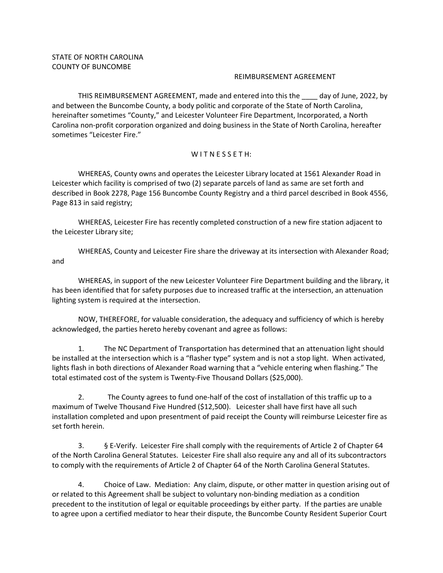## REIMBURSEMENT AGREEMENT

THIS REIMBURSEMENT AGREEMENT, made and entered into this the \_\_\_\_ day of June, 2022, by and between the Buncombe County, a body politic and corporate of the State of North Carolina, hereinafter sometimes "County," and Leicester Volunteer Fire Department, Incorporated, a North Carolina non‐profit corporation organized and doing business in the State of North Carolina, hereafter sometimes "Leicester Fire."

## WITNESSETH:

WHEREAS, County owns and operates the Leicester Library located at 1561 Alexander Road in Leicester which facility is comprised of two (2) separate parcels of land as same are set forth and described in Book 2278, Page 156 Buncombe County Registry and a third parcel described in Book 4556, Page 813 in said registry;

WHEREAS, Leicester Fire has recently completed construction of a new fire station adjacent to the Leicester Library site;

WHEREAS, County and Leicester Fire share the driveway at its intersection with Alexander Road; and

WHEREAS, in support of the new Leicester Volunteer Fire Department building and the library, it has been identified that for safety purposes due to increased traffic at the intersection, an attenuation lighting system is required at the intersection.

NOW, THEREFORE, for valuable consideration, the adequacy and sufficiency of which is hereby acknowledged, the parties hereto hereby covenant and agree as follows:

1. The NC Department of Transportation has determined that an attenuation light should be installed at the intersection which is a "flasher type" system and is not a stop light. When activated, lights flash in both directions of Alexander Road warning that a "vehicle entering when flashing." The total estimated cost of the system is Twenty‐Five Thousand Dollars (\$25,000).

2. The County agrees to fund one-half of the cost of installation of this traffic up to a maximum of Twelve Thousand Five Hundred (\$12,500). Leicester shall have first have all such installation completed and upon presentment of paid receipt the County will reimburse Leicester fire as set forth herein.

3. § E‐Verify. Leicester Fire shall comply with the requirements of Article 2 of Chapter 64 of the North Carolina General Statutes. Leicester Fire shall also require any and all of its subcontractors to comply with the requirements of Article 2 of Chapter 64 of the North Carolina General Statutes.

4. Choice of Law. Mediation: Any claim, dispute, or other matter in question arising out of or related to this Agreement shall be subject to voluntary non‐binding mediation as a condition precedent to the institution of legal or equitable proceedings by either party. If the parties are unable to agree upon a certified mediator to hear their dispute, the Buncombe County Resident Superior Court